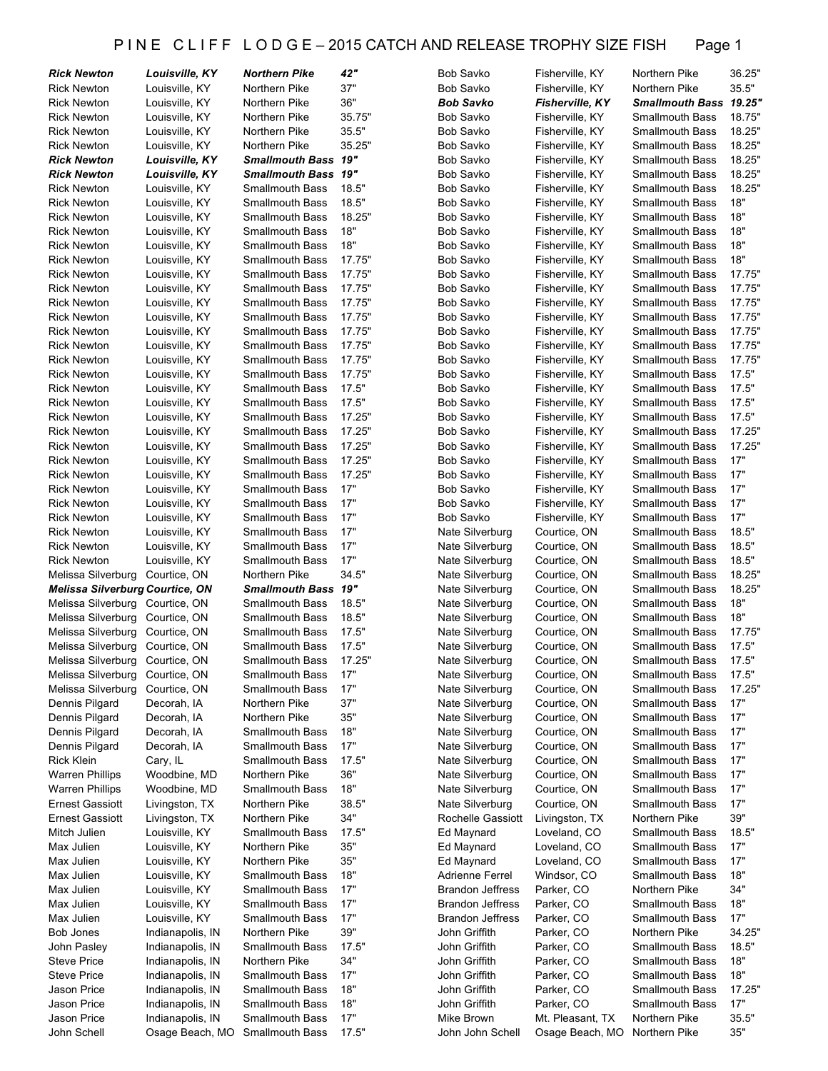#### P IN E C L I F F L O D G E - 2015 CATCH AND RELEASE TROPHY SIZE FISH Page 1

| <b>Rick Newton</b>                     | Louisville, KY   | <b>Northern Pike</b>       | 42"    | Bob Savko               | Fisherville, KY        | Northern Pike          | 36.25" |
|----------------------------------------|------------------|----------------------------|--------|-------------------------|------------------------|------------------------|--------|
| <b>Rick Newton</b>                     | Louisville, KY   | Northern Pike              | 37"    | Bob Savko               | Fisherville, KY        | Northern Pike          | 35.5"  |
| <b>Rick Newton</b>                     | Louisville, KY   | Northern Pike              | 36"    | Bob Savko               | <b>Fisherville, KY</b> | Smallmouth Bass 19.25" |        |
| <b>Rick Newton</b>                     | Louisville, KY   | Northern Pike              | 35.75" | Bob Savko               | Fisherville, KY        | <b>Smallmouth Bass</b> | 18.75" |
| <b>Rick Newton</b>                     | Louisville, KY   | Northern Pike              | 35.5"  | Bob Savko               | Fisherville, KY        | <b>Smallmouth Bass</b> | 18.25" |
| <b>Rick Newton</b>                     | Louisville, KY   | Northern Pike              | 35.25" | Bob Savko               | Fisherville, KY        | <b>Smallmouth Bass</b> | 18.25" |
| <b>Rick Newton</b>                     | Louisville, KY   | <b>Smallmouth Bass 19"</b> |        | Bob Savko               | Fisherville, KY        | <b>Smallmouth Bass</b> | 18.25" |
| <b>Rick Newton</b>                     | Louisville, KY   | <b>Smallmouth Bass 19"</b> |        | Bob Savko               | Fisherville, KY        | <b>Smallmouth Bass</b> | 18.25" |
| <b>Rick Newton</b>                     | Louisville, KY   | <b>Smallmouth Bass</b>     | 18.5"  | Bob Savko               | Fisherville, KY        | <b>Smallmouth Bass</b> | 18.25" |
| <b>Rick Newton</b>                     | Louisville, KY   | <b>Smallmouth Bass</b>     | 18.5"  | Bob Savko               | Fisherville, KY        | <b>Smallmouth Bass</b> | 18"    |
| <b>Rick Newton</b>                     | Louisville, KY   | <b>Smallmouth Bass</b>     | 18.25" | Bob Savko               | Fisherville, KY        | <b>Smallmouth Bass</b> | 18"    |
| <b>Rick Newton</b>                     | Louisville, KY   | <b>Smallmouth Bass</b>     | 18"    | Bob Savko               | Fisherville, KY        | <b>Smallmouth Bass</b> | 18"    |
| <b>Rick Newton</b>                     | Louisville, KY   | <b>Smallmouth Bass</b>     | 18"    | Bob Savko               | Fisherville, KY        | <b>Smallmouth Bass</b> | 18"    |
| <b>Rick Newton</b>                     | Louisville, KY   | <b>Smallmouth Bass</b>     | 17.75" | Bob Savko               | Fisherville, KY        | <b>Smallmouth Bass</b> | 18"    |
| <b>Rick Newton</b>                     | Louisville, KY   | <b>Smallmouth Bass</b>     | 17.75" | Bob Savko               | Fisherville, KY        | <b>Smallmouth Bass</b> | 17.75" |
| <b>Rick Newton</b>                     | Louisville, KY   | <b>Smallmouth Bass</b>     | 17.75" | Bob Savko               | Fisherville, KY        | <b>Smallmouth Bass</b> | 17.75" |
| <b>Rick Newton</b>                     | Louisville, KY   | <b>Smallmouth Bass</b>     | 17.75" | Bob Savko               | Fisherville, KY        | Smallmouth Bass        | 17.75" |
| <b>Rick Newton</b>                     | Louisville, KY   | <b>Smallmouth Bass</b>     | 17.75" | Bob Savko               | Fisherville, KY        | <b>Smallmouth Bass</b> | 17.75" |
| <b>Rick Newton</b>                     | Louisville, KY   | <b>Smallmouth Bass</b>     | 17.75" | <b>Bob Savko</b>        | Fisherville, KY        | Smallmouth Bass        | 17.75" |
| <b>Rick Newton</b>                     | Louisville, KY   | <b>Smallmouth Bass</b>     | 17.75" | Bob Savko               | Fisherville, KY        | <b>Smallmouth Bass</b> | 17.75" |
| <b>Rick Newton</b>                     | Louisville, KY   | <b>Smallmouth Bass</b>     | 17.75" | Bob Savko               | Fisherville, KY        | <b>Smallmouth Bass</b> | 17.75" |
| <b>Rick Newton</b>                     | Louisville, KY   | <b>Smallmouth Bass</b>     | 17.75" | Bob Savko               | Fisherville, KY        | <b>Smallmouth Bass</b> | 17.5"  |
| <b>Rick Newton</b>                     | Louisville, KY   | <b>Smallmouth Bass</b>     | 17.5"  | Bob Savko               | Fisherville, KY        | <b>Smallmouth Bass</b> | 17.5"  |
| <b>Rick Newton</b>                     | Louisville, KY   | <b>Smallmouth Bass</b>     | 17.5"  | Bob Savko               | Fisherville, KY        | <b>Smallmouth Bass</b> | 17.5"  |
| <b>Rick Newton</b>                     | Louisville, KY   | <b>Smallmouth Bass</b>     | 17.25" | Bob Savko               | Fisherville, KY        | Smallmouth Bass        | 17.5"  |
|                                        |                  | <b>Smallmouth Bass</b>     | 17.25" |                         |                        | <b>Smallmouth Bass</b> | 17.25" |
| <b>Rick Newton</b>                     | Louisville, KY   | <b>Smallmouth Bass</b>     | 17.25" | Bob Savko               | Fisherville, KY        |                        | 17.25" |
| <b>Rick Newton</b>                     | Louisville, KY   |                            |        | Bob Savko               | Fisherville, KY        | <b>Smallmouth Bass</b> |        |
| <b>Rick Newton</b>                     | Louisville, KY   | <b>Smallmouth Bass</b>     | 17.25" | Bob Savko               | Fisherville, KY        | <b>Smallmouth Bass</b> | 17"    |
| <b>Rick Newton</b>                     | Louisville, KY   | <b>Smallmouth Bass</b>     | 17.25" | Bob Savko               | Fisherville, KY        | <b>Smallmouth Bass</b> | 17"    |
| <b>Rick Newton</b>                     | Louisville, KY   | <b>Smallmouth Bass</b>     | 17"    | Bob Savko               | Fisherville, KY        | <b>Smallmouth Bass</b> | 17"    |
| <b>Rick Newton</b>                     | Louisville, KY   | <b>Smallmouth Bass</b>     | 17"    | Bob Savko               | Fisherville, KY        | <b>Smallmouth Bass</b> | 17"    |
| <b>Rick Newton</b>                     | Louisville, KY   | <b>Smallmouth Bass</b>     | 17"    | <b>Bob Savko</b>        | Fisherville, KY        | <b>Smallmouth Bass</b> | 17"    |
| <b>Rick Newton</b>                     | Louisville, KY   | <b>Smallmouth Bass</b>     | 17"    | Nate Silverburg         | Courtice, ON           | <b>Smallmouth Bass</b> | 18.5"  |
| <b>Rick Newton</b>                     | Louisville, KY   | <b>Smallmouth Bass</b>     | 17"    | Nate Silverburg         | Courtice, ON           | <b>Smallmouth Bass</b> | 18.5"  |
| <b>Rick Newton</b>                     | Louisville, KY   | <b>Smallmouth Bass</b>     | 17"    | Nate Silverburg         | Courtice, ON           | <b>Smallmouth Bass</b> | 18.5"  |
| Melissa Silverburg                     | Courtice, ON     | Northern Pike              | 34.5"  | Nate Silverburg         | Courtice, ON           | <b>Smallmouth Bass</b> | 18.25" |
| <b>Melissa Silverburg Courtice, ON</b> |                  | Smallmouth Bass 19"        |        | Nate Silverburg         | Courtice, ON           | <b>Smallmouth Bass</b> | 18.25" |
| Melissa Silverburg                     | Courtice, ON     | Smallmouth Bass            | 18.5"  | Nate Silverburg         | Courtice, ON           | Smallmouth Bass        | 18"    |
| Melissa Silverburg                     | Courtice, ON     | <b>Smallmouth Bass</b>     | 18.5"  | Nate Silverburg         | Courtice, ON           | <b>Smallmouth Bass</b> | 18"    |
| Melissa Silverburg                     | Courtice, ON     | <b>Smallmouth Bass</b>     | 17.5"  | Nate Silverburg         | Courtice, ON           | <b>Smallmouth Bass</b> | 17.75" |
| Melissa Silverburg                     | Courtice, ON     | <b>Smallmouth Bass</b>     | 17.5"  | Nate Silverburg         | Courtice, ON           | <b>Smallmouth Bass</b> | 17.5"  |
| Melissa Silverburg Courtice, ON        |                  | <b>Smallmouth Bass</b>     | 17.25" | Nate Silverburg         | Courtice, ON           | <b>Smallmouth Bass</b> | 17.5"  |
| Melissa Silverburg                     | Courtice, ON     | Smallmouth Bass            | 17"    | Nate Silverburg         | Courtice, ON           | Smallmouth Bass        | 17.5"  |
| Melissa Silverburg                     | Courtice, ON     | <b>Smallmouth Bass</b>     | 17"    | Nate Silverburg         | Courtice, ON           | Smallmouth Bass        | 17.25" |
| Dennis Pilgard                         | Decorah, IA      | Northern Pike              | 37"    | Nate Silverburg         | Courtice, ON           | <b>Smallmouth Bass</b> | 17"    |
| Dennis Pilgard                         | Decorah, IA      | Northern Pike              | 35"    | Nate Silverburg         | Courtice, ON           | <b>Smallmouth Bass</b> | 17"    |
| Dennis Pilgard                         | Decorah, IA      | <b>Smallmouth Bass</b>     | 18"    | Nate Silverburg         | Courtice, ON           | <b>Smallmouth Bass</b> | 17"    |
| Dennis Pilgard                         | Decorah, IA      | <b>Smallmouth Bass</b>     | 17"    | Nate Silverburg         | Courtice, ON           | <b>Smallmouth Bass</b> | 17"    |
| <b>Rick Klein</b>                      | Cary, IL         | <b>Smallmouth Bass</b>     | 17.5"  | Nate Silverburg         | Courtice, ON           | Smallmouth Bass        | 17"    |
| <b>Warren Phillips</b>                 | Woodbine, MD     | Northern Pike              | 36"    | Nate Silverburg         | Courtice, ON           | <b>Smallmouth Bass</b> | 17"    |
| <b>Warren Phillips</b>                 | Woodbine, MD     | <b>Smallmouth Bass</b>     | 18"    | Nate Silverburg         | Courtice, ON           | <b>Smallmouth Bass</b> | 17"    |
| <b>Ernest Gassiott</b>                 | Livingston, TX   | Northern Pike              | 38.5"  | Nate Silverburg         | Courtice, ON           | <b>Smallmouth Bass</b> | 17"    |
| <b>Ernest Gassiott</b>                 | Livingston, TX   | Northern Pike              | 34"    | Rochelle Gassiott       | Livingston, TX         | Northern Pike          | 39"    |
| Mitch Julien                           | Louisville, KY   | <b>Smallmouth Bass</b>     | 17.5"  | Ed Maynard              | Loveland, CO           | <b>Smallmouth Bass</b> | 18.5"  |
| Max Julien                             | Louisville, KY   | Northern Pike              | 35"    | Ed Maynard              | Loveland, CO           | <b>Smallmouth Bass</b> | 17"    |
| Max Julien                             | Louisville, KY   | Northern Pike              | 35"    | Ed Maynard              | Loveland, CO           | <b>Smallmouth Bass</b> | 17"    |
| Max Julien                             | Louisville, KY   | <b>Smallmouth Bass</b>     | 18"    | Adrienne Ferrel         | Windsor, CO            | <b>Smallmouth Bass</b> | 18"    |
| Max Julien                             | Louisville, KY   | <b>Smallmouth Bass</b>     | 17"    | <b>Brandon Jeffress</b> | Parker, CO             | Northern Pike          | 34"    |
| Max Julien                             | Louisville, KY   | <b>Smallmouth Bass</b>     | 17"    | <b>Brandon Jeffress</b> | Parker, CO             | <b>Smallmouth Bass</b> | 18"    |
| Max Julien                             | Louisville, KY   | <b>Smallmouth Bass</b>     | 17"    | <b>Brandon Jeffress</b> | Parker, CO             | <b>Smallmouth Bass</b> | 17"    |
| Bob Jones                              | Indianapolis, IN | Northern Pike              | 39"    | John Griffith           | Parker, CO             | Northern Pike          | 34.25" |
| John Pasley                            | Indianapolis, IN | <b>Smallmouth Bass</b>     | 17.5"  | John Griffith           | Parker, CO             | <b>Smallmouth Bass</b> | 18.5"  |
| <b>Steve Price</b>                     | Indianapolis, IN | Northern Pike              | 34"    | John Griffith           | Parker, CO             | <b>Smallmouth Bass</b> | 18"    |
| <b>Steve Price</b>                     | Indianapolis, IN | <b>Smallmouth Bass</b>     | 17"    | John Griffith           | Parker, CO             | <b>Smallmouth Bass</b> | 18"    |
| Jason Price                            | Indianapolis, IN | <b>Smallmouth Bass</b>     | 18"    | John Griffith           | Parker, CO             | <b>Smallmouth Bass</b> | 17.25" |
| <b>Jason Price</b>                     | Indianapolis, IN | <b>Smallmouth Bass</b>     | 18"    | John Griffith           | Parker, CO             | <b>Smallmouth Bass</b> | 17"    |
| Jason Price                            | Indianapolis, IN | <b>Smallmouth Bass</b>     | 17"    | Mike Brown              | Mt. Pleasant, TX       | Northern Pike          | 35.5"  |
| John Schell                            | Osage Beach, MO  | <b>Smallmouth Bass</b>     | 17.5"  | John John Schell        | Osage Beach, MO        | Northern Pike          | 35"    |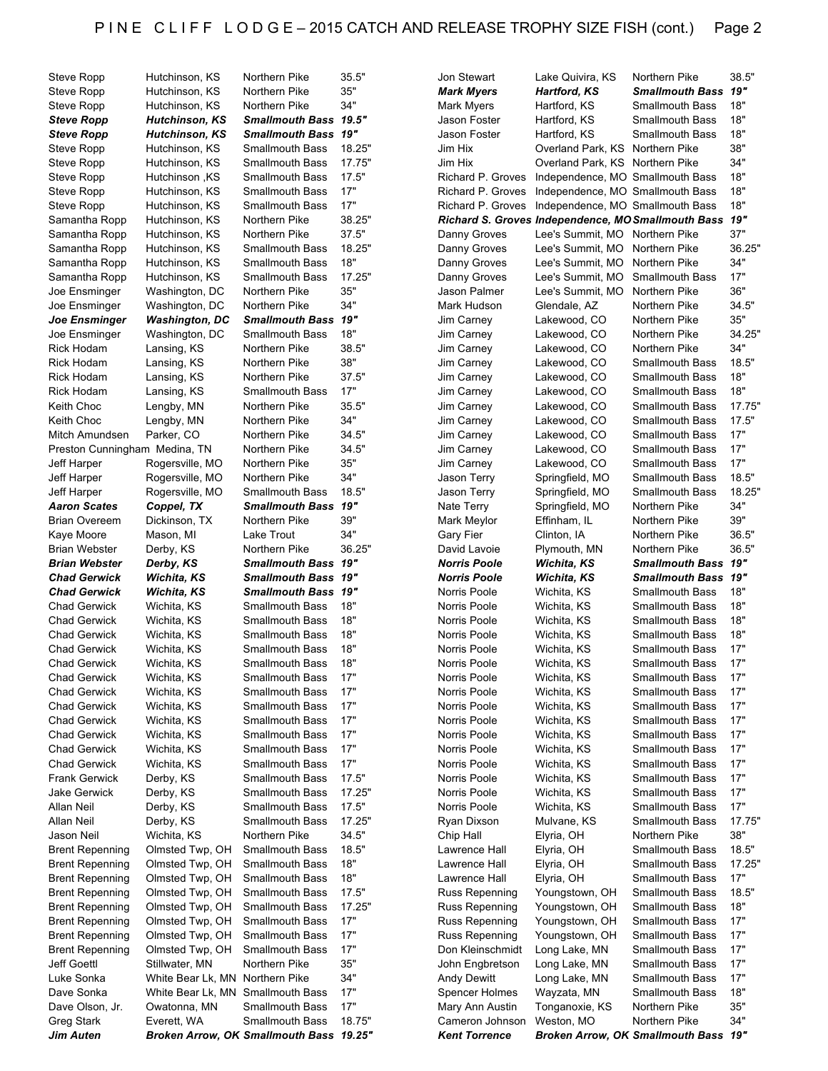| Steve Ropp                    | Hutchinson, KS        | Northern Pike                                                     | 35.5"  | Jon Stewart                             | Lake Quivira, KS                 | Northern Pike                                             | 38.5"  |
|-------------------------------|-----------------------|-------------------------------------------------------------------|--------|-----------------------------------------|----------------------------------|-----------------------------------------------------------|--------|
| Steve Ropp                    | Hutchinson, KS        | Northern Pike                                                     | 35"    | <b>Mark Myers</b>                       | <b>Hartford, KS</b>              | Smallmouth Bass 19"                                       |        |
| <b>Steve Ropp</b>             | Hutchinson, KS        | Northern Pike                                                     | 34"    | Mark Myers                              | Hartford, KS                     | <b>Smallmouth Bass</b>                                    | 18"    |
| <b>Steve Ropp</b>             | <b>Hutchinson, KS</b> | Smallmouth Bass 19.5"                                             |        | Jason Foster                            | Hartford, KS                     | <b>Smallmouth Bass</b>                                    | 18"    |
| <b>Steve Ropp</b>             | <b>Hutchinson, KS</b> | <b>Smallmouth Bass</b>                                            | 19"    | Jason Foster                            | Hartford, KS                     | Smallmouth Bass                                           | 18"    |
|                               |                       |                                                                   |        |                                         |                                  |                                                           |        |
| <b>Steve Ropp</b>             | Hutchinson, KS        | <b>Smallmouth Bass</b>                                            | 18.25" | Jim Hix                                 | Overland Park, KS Northern Pike  |                                                           | 38"    |
| <b>Steve Ropp</b>             | Hutchinson, KS        | <b>Smallmouth Bass</b>                                            | 17.75" | Jim Hix                                 | Overland Park, KS Northern Pike  |                                                           | 34"    |
| Steve Ropp                    | <b>Hutchinson, KS</b> | <b>Smallmouth Bass</b>                                            | 17.5"  | Richard P. Groves                       | Independence, MO Smallmouth Bass |                                                           | 18"    |
| Steve Ropp                    | Hutchinson, KS        | <b>Smallmouth Bass</b>                                            | 17"    | Richard P. Groves                       | Independence, MO Smallmouth Bass |                                                           | 18"    |
| Steve Ropp                    | Hutchinson, KS        | Smallmouth Bass                                                   | 17"    | Richard P. Groves                       | Independence, MO Smallmouth Bass |                                                           | 18"    |
| Samantha Ropp                 | Hutchinson, KS        | Northern Pike                                                     | 38.25" |                                         |                                  | <b>Richard S. Groves Independence, MO Smallmouth Bass</b> | 19"    |
|                               |                       |                                                                   |        |                                         |                                  |                                                           | 37"    |
| Samantha Ropp                 | Hutchinson, KS        | Northern Pike                                                     | 37.5"  | Danny Groves                            | Lee's Summit, MO Northern Pike   |                                                           |        |
| Samantha Ropp                 | Hutchinson, KS        | <b>Smallmouth Bass</b>                                            | 18.25" | Danny Groves                            | Lee's Summit, MO                 | Northern Pike                                             | 36.25" |
| Samantha Ropp                 | Hutchinson, KS        | <b>Smallmouth Bass</b>                                            | 18"    | Danny Groves                            | Lee's Summit, MO                 | Northern Pike                                             | 34"    |
| Samantha Ropp                 | Hutchinson, KS        | <b>Smallmouth Bass</b>                                            | 17.25" | Danny Groves                            | Lee's Summit, MO                 | <b>Smallmouth Bass</b>                                    | 17"    |
| Joe Ensminger                 | Washington, DC        | Northern Pike                                                     | 35"    | Jason Palmer                            | Lee's Summit, MO                 | Northern Pike                                             | 36"    |
| Joe Ensminger                 | Washington, DC        | Northern Pike                                                     | 34"    | Mark Hudson                             | Glendale, AZ                     | Northern Pike                                             | 34.5"  |
| Joe Ensminger                 | <b>Washington, DC</b> | <b>Smallmouth Bass</b>                                            | 19"    | Jim Carney                              | Lakewood, CO                     | Northern Pike                                             | 35"    |
|                               |                       |                                                                   | 18"    |                                         |                                  |                                                           | 34.25" |
| Joe Ensminger                 | Washington, DC        | <b>Smallmouth Bass</b>                                            |        | Jim Carney                              | Lakewood, CO                     | Northern Pike                                             |        |
| <b>Rick Hodam</b>             | Lansing, KS           | Northern Pike                                                     | 38.5"  | <b>Jim Carney</b>                       | Lakewood, CO                     | Northern Pike                                             | 34"    |
| <b>Rick Hodam</b>             | Lansing, KS           | Northern Pike                                                     | 38"    | Jim Carney                              | Lakewood, CO                     | <b>Smallmouth Bass</b>                                    | 18.5"  |
| <b>Rick Hodam</b>             | Lansing, KS           | Northern Pike                                                     | 37.5"  | Jim Carney                              | Lakewood, CO                     | <b>Smallmouth Bass</b>                                    | 18"    |
| <b>Rick Hodam</b>             | Lansing, KS           | <b>Smallmouth Bass</b>                                            | 17"    | Jim Carney                              | Lakewood, CO                     | <b>Smallmouth Bass</b>                                    | 18"    |
| Keith Choc                    | Lengby, MN            | Northern Pike                                                     | 35.5"  | Jim Carney                              | Lakewood, CO                     | <b>Smallmouth Bass</b>                                    | 17.75" |
| Keith Choc                    | Lengby, MN            | Northern Pike                                                     | 34"    | Jim Carney                              | Lakewood, CO                     | <b>Smallmouth Bass</b>                                    | 17.5"  |
|                               |                       |                                                                   |        |                                         |                                  |                                                           |        |
| Mitch Amundsen                | Parker, CO            | Northern Pike                                                     | 34.5"  | Jim Carney                              | Lakewood, CO                     | <b>Smallmouth Bass</b>                                    | 17"    |
| Preston Cunningham Medina, TN |                       | Northern Pike                                                     | 34.5"  | Jim Carney                              | Lakewood, CO                     | <b>Smallmouth Bass</b>                                    | 17"    |
| Jeff Harper                   | Rogersville, MO       | Northern Pike                                                     | 35"    | Jim Carney                              | Lakewood, CO                     | <b>Smallmouth Bass</b>                                    | 17"    |
| Jeff Harper                   | Rogersville, MO       | Northern Pike                                                     | 34"    | Jason Terry                             | Springfield, MO                  | <b>Smallmouth Bass</b>                                    | 18.5"  |
| Jeff Harper                   | Rogersville, MO       | <b>Smallmouth Bass</b>                                            | 18.5"  | Jason Terry                             | Springfield, MO                  | <b>Smallmouth Bass</b>                                    | 18.25" |
| <b>Aaron Scates</b>           | Coppel, TX            | <b>Smallmouth Bass</b>                                            | 19"    | Nate Terry                              | Springfield, MO                  | Northern Pike                                             | 34"    |
| <b>Brian Overeem</b>          | Dickinson, TX         | Northern Pike                                                     | 39"    | Mark Meylor                             | Effinham, IL                     | Northern Pike                                             | 39"    |
|                               |                       |                                                                   |        |                                         |                                  |                                                           |        |
| Kaye Moore                    | Mason, MI             | Lake Trout                                                        | 34"    | Gary Fier                               | Clinton, IA                      | Northern Pike                                             | 36.5"  |
| <b>Brian Webster</b>          | Derby, KS             | Northern Pike                                                     | 36.25" | David Lavoie                            | Plymouth, MN                     | Northern Pike                                             | 36.5"  |
|                               |                       |                                                                   |        |                                         |                                  |                                                           |        |
| <b>Brian Webster</b>          | Derby, KS             | Smallmouth Bass 19"                                               |        | <b>Norris Poole</b>                     | Wichita, KS                      | Smallmouth Bass 19"                                       |        |
| <b>Chad Gerwick</b>           | Wichita, KS           | <b>Smallmouth Bass</b>                                            | 19"    | <b>Norris Poole</b>                     | Wichita, KS                      | Smallmouth Bass 19"                                       |        |
|                               |                       |                                                                   | 19"    |                                         |                                  |                                                           |        |
| <b>Chad Gerwick</b>           | Wichita, KS           | <b>Smallmouth Bass</b>                                            |        | Norris Poole                            | Wichita, KS                      | <b>Smallmouth Bass</b>                                    | 18"    |
| <b>Chad Gerwick</b>           | Wichita, KS           | <b>Smallmouth Bass</b>                                            | 18"    | Norris Poole                            | Wichita, KS                      | <b>Smallmouth Bass</b>                                    | 18"    |
| <b>Chad Gerwick</b>           | Wichita, KS           | <b>Smallmouth Bass</b>                                            | 18"    | Norris Poole                            | Wichita, KS                      | <b>Smallmouth Bass</b>                                    | 18"    |
| <b>Chad Gerwick</b>           | Wichita, KS           | <b>Smallmouth Bass</b>                                            | 18"    | Norris Poole                            | Wichita, KS                      | <b>Smallmouth Bass</b>                                    | 18"    |
| <b>Chad Gerwick</b>           | Wichita, KS           | <b>Smallmouth Bass</b>                                            | 18"    | Norris Poole                            | Wichita, KS                      | <b>Smallmouth Bass</b>                                    | 17"    |
| <b>Chad Gerwick</b>           | Wichita, KS           | <b>Smallmouth Bass</b>                                            | 18"    | Norris Poole                            | Wichita, KS                      | <b>Smallmouth Bass</b>                                    | 17"    |
| <b>Chad Gerwick</b>           | Wichita, KS           | <b>Smallmouth Bass</b>                                            | 17"    | Norris Poole                            | Wichita, KS                      | Smallmouth Bass                                           | 17"    |
|                               |                       |                                                                   |        |                                         |                                  |                                                           |        |
| Chad Gerwick                  | Wichita, KS           | Smallmouth Bass                                                   | 17"    | Norris Poole                            | Wichita, KS                      | Smallmouth Bass                                           | 17"    |
| <b>Chad Gerwick</b>           | Wichita, KS           | <b>Smallmouth Bass</b>                                            | 17"    | Norris Poole                            | Wichita, KS                      | <b>Smallmouth Bass</b>                                    | 17"    |
| <b>Chad Gerwick</b>           | Wichita, KS           | <b>Smallmouth Bass</b>                                            | 17"    | Norris Poole                            | Wichita, KS                      | <b>Smallmouth Bass</b>                                    | 17"    |
| <b>Chad Gerwick</b>           | Wichita, KS           | Smallmouth Bass                                                   | 17"    | Norris Poole                            | Wichita, KS                      | Smallmouth Bass                                           | 17"    |
| <b>Chad Gerwick</b>           | Wichita, KS           | <b>Smallmouth Bass</b>                                            | 17"    | Norris Poole                            | Wichita, KS                      | <b>Smallmouth Bass</b>                                    | 17"    |
| <b>Chad Gerwick</b>           | Wichita, KS           | <b>Smallmouth Bass</b>                                            | 17"    | Norris Poole                            | Wichita, KS                      | <b>Smallmouth Bass</b>                                    | 17"    |
|                               |                       |                                                                   |        |                                         |                                  |                                                           |        |
| <b>Frank Gerwick</b>          | Derby, KS             | <b>Smallmouth Bass</b>                                            | 17.5"  | Norris Poole                            | Wichita, KS                      | <b>Smallmouth Bass</b>                                    | 17"    |
| Jake Gerwick                  | Derby, KS             | <b>Smallmouth Bass</b>                                            | 17.25" | Norris Poole                            | Wichita, KS                      | <b>Smallmouth Bass</b>                                    | 17"    |
| Allan Neil                    | Derby, KS             | <b>Smallmouth Bass</b>                                            | 17.5"  | Norris Poole                            | Wichita, KS                      | <b>Smallmouth Bass</b>                                    | 17"    |
| Allan Neil                    | Derby, KS             | <b>Smallmouth Bass</b>                                            | 17.25" | Ryan Dixson                             | Mulvane, KS                      | <b>Smallmouth Bass</b>                                    | 17.75" |
| Jason Neil                    | Wichita, KS           | Northern Pike                                                     | 34.5"  | Chip Hall                               | Elyria, OH                       | Northern Pike                                             | 38"    |
| <b>Brent Repenning</b>        | Olmsted Twp, OH       | <b>Smallmouth Bass</b>                                            | 18.5"  | Lawrence Hall                           | Elyria, OH                       | <b>Smallmouth Bass</b>                                    | 18.5"  |
| <b>Brent Repenning</b>        | Olmsted Twp, OH       | <b>Smallmouth Bass</b>                                            | 18"    | Lawrence Hall                           | Elyria, OH                       | <b>Smallmouth Bass</b>                                    | 17.25" |
|                               |                       |                                                                   |        |                                         |                                  |                                                           |        |
| <b>Brent Repenning</b>        | Olmsted Twp, OH       | <b>Smallmouth Bass</b>                                            | 18"    | Lawrence Hall                           | Elyria, OH                       | <b>Smallmouth Bass</b>                                    | 17"    |
| <b>Brent Repenning</b>        | Olmsted Twp, OH       | <b>Smallmouth Bass</b>                                            | 17.5"  | Russ Repenning                          | Youngstown, OH                   | <b>Smallmouth Bass</b>                                    | 18.5"  |
| <b>Brent Repenning</b>        | Olmsted Twp, OH       | <b>Smallmouth Bass</b>                                            | 17.25" | <b>Russ Repenning</b>                   | Youngstown, OH                   | <b>Smallmouth Bass</b>                                    | 18"    |
| <b>Brent Repenning</b>        | Olmsted Twp, OH       | <b>Smallmouth Bass</b>                                            | 17"    | Russ Repenning                          | Youngstown, OH                   | <b>Smallmouth Bass</b>                                    | 17"    |
| <b>Brent Repenning</b>        | Olmsted Twp, OH       | <b>Smallmouth Bass</b>                                            | 17"    | Russ Repenning                          | Youngstown, OH                   | <b>Smallmouth Bass</b>                                    | 17"    |
| <b>Brent Repenning</b>        | Olmsted Twp, OH       | <b>Smallmouth Bass</b>                                            | 17"    | Don Kleinschmidt                        | Long Lake, MN                    | <b>Smallmouth Bass</b>                                    | 17"    |
| Jeff Goettl                   | Stillwater, MN        | Northern Pike                                                     | 35"    | John Engbretson                         | Long Lake, MN                    | <b>Smallmouth Bass</b>                                    | 17"    |
|                               |                       |                                                                   |        |                                         |                                  |                                                           |        |
| Luke Sonka                    | White Bear Lk, MN     | Northern Pike                                                     | 34"    | <b>Andy Dewitt</b>                      | Long Lake, MN                    | <b>Smallmouth Bass</b>                                    | 17"    |
| Dave Sonka                    | White Bear Lk, MN     | <b>Smallmouth Bass</b>                                            | 17"    | <b>Spencer Holmes</b>                   | Wayzata, MN                      | <b>Smallmouth Bass</b>                                    | 18"    |
| Dave Olson, Jr.               | Owatonna, MN          | Smallmouth Bass                                                   | 17"    | Mary Ann Austin                         | Tonganoxie, KS                   | Northern Pike                                             | 35"    |
| Greg Stark<br>Jim Auten       | Everett, WA           | <b>Smallmouth Bass</b><br>Broken Arrow, OK Smallmouth Bass 19.25" | 18.75" | Cameron Johnson<br><b>Kent Torrence</b> | Weston, MO                       | Northern Pike<br>Broken Arrow, OK Smallmouth Bass 19"     | 34"    |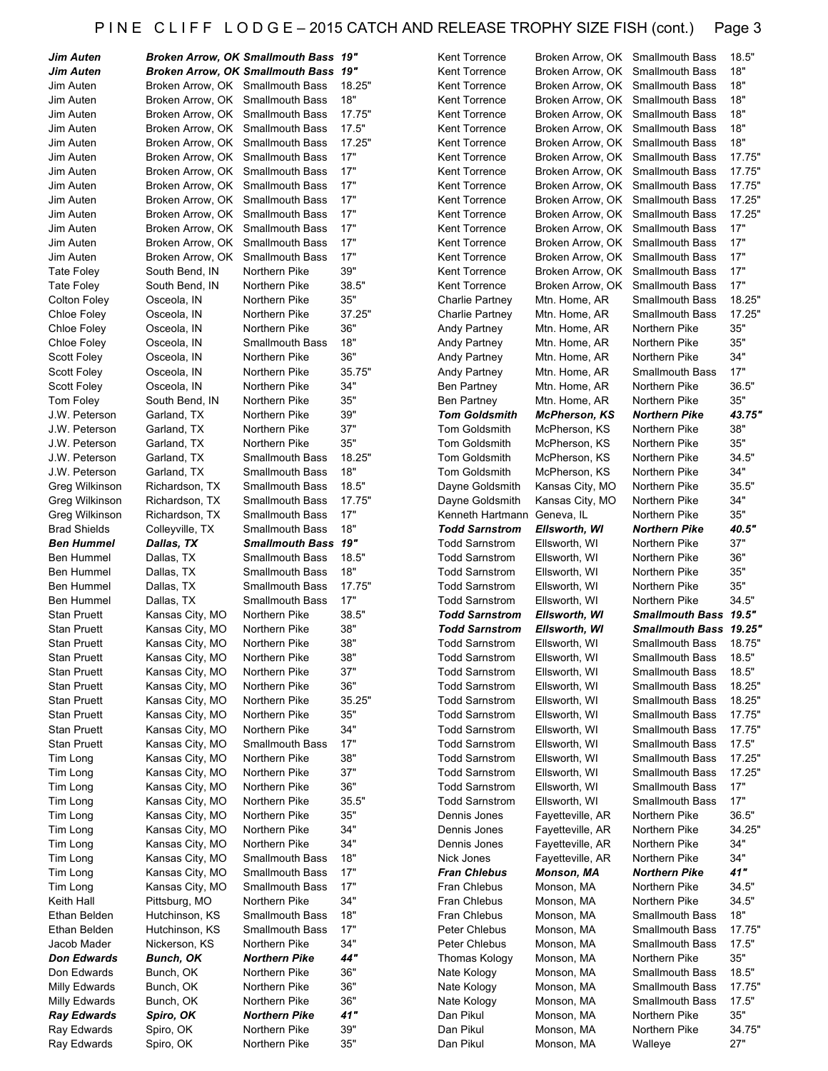# P I N E C L I F F L O D G E - 2015 CATCH AND RELEASE TROPHY SIZE FISH (cont.) Page 3

| Jim Auten                  |                                  | <b>Broken Arrow, OK Smallmouth Bass 19"</b> |            | <b>Kent Torrence</b>   | Broken Arrow, OK Smallmouth Bass |                               | 18.5"         |
|----------------------------|----------------------------------|---------------------------------------------|------------|------------------------|----------------------------------|-------------------------------|---------------|
| Jim Auten                  |                                  | Broken Arrow, OK Smallmouth Bass 19"        |            | <b>Kent Torrence</b>   | Broken Arrow, OK Smallmouth Bass |                               | 18"           |
| Jim Auten                  | Broken Arrow, OK Smallmouth Bass |                                             | 18.25"     | Kent Torrence          | Broken Arrow, OK Smallmouth Bass |                               | 18"           |
| Jim Auten                  | Broken Arrow, OK Smallmouth Bass |                                             | 18"        | Kent Torrence          | Broken Arrow, OK Smallmouth Bass |                               | 18"           |
| Jim Auten                  | Broken Arrow, OK Smallmouth Bass |                                             | 17.75"     | <b>Kent Torrence</b>   | Broken Arrow, OK Smallmouth Bass |                               | 18"           |
| Jim Auten                  | Broken Arrow, OK Smallmouth Bass |                                             | 17.5"      | <b>Kent Torrence</b>   | Broken Arrow, OK Smallmouth Bass |                               | 18"           |
| Jim Auten                  | Broken Arrow, OK Smallmouth Bass |                                             | 17.25"     | <b>Kent Torrence</b>   | Broken Arrow, OK Smallmouth Bass |                               | 18"           |
| Jim Auten                  | Broken Arrow, OK Smallmouth Bass |                                             | 17"        | <b>Kent Torrence</b>   | Broken Arrow, OK Smallmouth Bass |                               | 17.75"        |
| Jim Auten                  | Broken Arrow, OK Smallmouth Bass |                                             | 17"        | <b>Kent Torrence</b>   | Broken Arrow, OK Smallmouth Bass |                               | 17.75"        |
| Jim Auten                  | Broken Arrow, OK Smallmouth Bass |                                             | 17"        | <b>Kent Torrence</b>   | Broken Arrow, OK Smallmouth Bass |                               | 17.75"        |
| Jim Auten                  | Broken Arrow, OK Smallmouth Bass |                                             | 17"        | <b>Kent Torrence</b>   | Broken Arrow, OK Smallmouth Bass |                               | 17.25"        |
| Jim Auten                  | Broken Arrow, OK Smallmouth Bass |                                             | 17"        | Kent Torrence          | Broken Arrow, OK Smallmouth Bass |                               | 17.25"        |
| Jim Auten                  | Broken Arrow, OK Smallmouth Bass |                                             | 17"        | <b>Kent Torrence</b>   | Broken Arrow, OK Smallmouth Bass |                               | 17"           |
| Jim Auten                  | Broken Arrow, OK                 | <b>Smallmouth Bass</b>                      | 17"        | <b>Kent Torrence</b>   | Broken Arrow, OK                 | <b>Smallmouth Bass</b>        | 17"           |
| Jim Auten                  | Broken Arrow, OK                 | <b>Smallmouth Bass</b>                      | 17"        | <b>Kent Torrence</b>   | Broken Arrow, OK Smallmouth Bass |                               | 17"           |
| Tate Foley                 | South Bend, IN                   | Northern Pike                               | 39"        | Kent Torrence          | Broken Arrow, OK                 | <b>Smallmouth Bass</b>        | 17"           |
| Tate Foley                 | South Bend, IN                   | Northern Pike                               | 38.5"      | <b>Kent Torrence</b>   | Broken Arrow, OK                 | <b>Smallmouth Bass</b>        | 17"           |
| Colton Foley               | Osceola, IN                      | Northern Pike                               | 35"        | <b>Charlie Partney</b> | Mtn. Home, AR                    | <b>Smallmouth Bass</b>        | 18.25"        |
| Chloe Foley                |                                  | Northern Pike                               | 37.25"     |                        |                                  | <b>Smallmouth Bass</b>        | 17.25"        |
|                            | Osceola, IN                      |                                             | 36"        | Charlie Partney        | Mtn. Home, AR                    |                               | 35"           |
| Chloe Foley                | Osceola, IN                      | Northern Pike                               | 18"        | Andy Partney           | Mtn. Home, AR                    | Northern Pike                 |               |
| Chloe Foley                | Osceola, IN                      | <b>Smallmouth Bass</b>                      |            | Andy Partney           | Mtn. Home, AR                    | Northern Pike                 | 35"           |
| Scott Foley                | Osceola, IN                      | Northern Pike                               | 36"        | Andy Partney           | Mtn. Home, AR                    | Northern Pike                 | 34"           |
| <b>Scott Foley</b>         | Osceola, IN                      | Northern Pike                               | 35.75"     | Andy Partney           | Mtn. Home, AR                    | <b>Smallmouth Bass</b>        | 17"           |
| <b>Scott Foley</b>         | Osceola, IN                      | Northern Pike                               | 34"        | <b>Ben Partney</b>     | Mtn. Home, AR                    | Northern Pike                 | 36.5"         |
| Tom Foley                  | South Bend, IN                   | Northern Pike                               | 35"        | <b>Ben Partney</b>     | Mtn. Home, AR                    | Northern Pike                 | 35"           |
| J.W. Peterson              | Garland, TX                      | Northern Pike                               | 39"        | <b>Tom Goldsmith</b>   | <b>McPherson, KS</b>             | <b>Northern Pike</b>          | 43.75"        |
| J.W. Peterson              | Garland, TX                      | Northern Pike                               | 37"        | Tom Goldsmith          | McPherson, KS                    | Northern Pike                 | 38"           |
| J.W. Peterson              | Garland, TX                      | Northern Pike                               | 35"        | <b>Tom Goldsmith</b>   | McPherson, KS                    | Northern Pike                 | 35"           |
| J.W. Peterson              | Garland, TX                      | <b>Smallmouth Bass</b>                      | 18.25"     | <b>Tom Goldsmith</b>   | McPherson, KS                    | Northern Pike                 | 34.5"         |
| J.W. Peterson              | Garland, TX                      | <b>Smallmouth Bass</b>                      | 18"        | <b>Tom Goldsmith</b>   | McPherson, KS                    | Northern Pike                 | 34"           |
| Greg Wilkinson             | Richardson, TX                   | <b>Smallmouth Bass</b>                      | 18.5"      | Dayne Goldsmith        | Kansas City, MO                  | Northern Pike                 | 35.5"         |
| Greg Wilkinson             | Richardson, TX                   | <b>Smallmouth Bass</b>                      | 17.75"     | Dayne Goldsmith        | Kansas City, MO                  | Northern Pike                 | 34"           |
| Greg Wilkinson             | Richardson, TX                   | <b>Smallmouth Bass</b>                      | 17"        | Kenneth Hartmann       | Geneva, IL                       | Northern Pike                 | 35"           |
| <b>Brad Shields</b>        | Colleyville, TX                  | <b>Smallmouth Bass</b>                      | 18"        | <b>Todd Sarnstrom</b>  | Ellsworth, WI                    | <b>Northern Pike</b>          | 40.5"         |
| <b>Ben Hummel</b>          | Dallas, TX                       | <b>Smallmouth Bass</b>                      | 19"        | <b>Todd Sarnstrom</b>  | Ellsworth, WI                    | Northern Pike                 | 37"           |
| Ben Hummel                 | Dallas, TX                       | <b>Smallmouth Bass</b>                      | 18.5"      | <b>Todd Sarnstrom</b>  | Ellsworth, WI                    | Northern Pike                 | 36"           |
| Ben Hummel                 | Dallas, TX                       | <b>Smallmouth Bass</b>                      | 18"        | <b>Todd Sarnstrom</b>  | Ellsworth, WI                    | Northern Pike                 | 35"           |
| Ben Hummel                 | Dallas, TX                       | <b>Smallmouth Bass</b>                      | 17.75"     | <b>Todd Sarnstrom</b>  | Ellsworth, WI                    | Northern Pike                 | 35"           |
| Ben Hummel                 | Dallas, TX                       | <b>Smallmouth Bass</b>                      | 17"        | <b>Todd Sarnstrom</b>  | Ellsworth, WI                    | Northern Pike                 | 34.5"         |
| <b>Stan Pruett</b>         | Kansas City, MO                  | Northern Pike                               | 38.5"      | <b>Todd Sarnstrom</b>  | Ellsworth, WI                    | Smallmouth Bass 19.5"         |               |
| <b>Stan Pruett</b>         | Kansas City, MO                  | Northern Pike                               | 38"        | <b>Todd Sarnstrom</b>  | Ellsworth, WI                    | <b>Smallmouth Bass 19.25"</b> |               |
| <b>Stan Pruett</b>         | Kansas City, MO                  | Northern Pike                               | 38"        | <b>Todd Sarnstrom</b>  | Ellsworth, WI                    | Smallmouth Bass               | 18.75"        |
| <b>Stan Pruett</b>         | Kansas City, MO                  | Northern Pike                               | $38"$      | <b>Todd Sarnstrom</b>  | Ellsworth, WI                    | Smallmouth Bass 18.5"         |               |
|                            |                                  |                                             | 37"        |                        |                                  |                               |               |
| <b>Stan Pruett</b>         | Kansas City, MO                  | Northern Pike                               |            | <b>Todd Sarnstrom</b>  | Ellsworth, WI                    | Smallmouth Bass               | 18.5"         |
| <b>Stan Pruett</b>         | Kansas City, MO                  | Northern Pike                               | 36"        | <b>Todd Sarnstrom</b>  | Ellsworth, WI                    | <b>Smallmouth Bass</b>        | 18.25"        |
| <b>Stan Pruett</b>         | Kansas City, MO                  | Northern Pike                               | 35.25"     | <b>Todd Sarnstrom</b>  | Ellsworth, WI                    | Smallmouth Bass               | 18.25"        |
| <b>Stan Pruett</b>         | Kansas City, MO                  | Northern Pike                               | 35"        | <b>Todd Sarnstrom</b>  | Ellsworth, WI                    | <b>Smallmouth Bass</b>        | 17.75"        |
| <b>Stan Pruett</b>         | Kansas City, MO                  | Northern Pike                               | 34"        | <b>Todd Sarnstrom</b>  | Ellsworth, WI                    | <b>Smallmouth Bass</b>        | 17.75"        |
| <b>Stan Pruett</b>         | Kansas City, MO                  | <b>Smallmouth Bass</b>                      | 17"        | <b>Todd Sarnstrom</b>  | Ellsworth, WI                    | Smallmouth Bass               | 17.5"         |
| Tim Long                   | Kansas City, MO                  | Northern Pike                               | 38"        | <b>Todd Sarnstrom</b>  | Ellsworth, WI                    | <b>Smallmouth Bass</b>        | 17.25"        |
| Tim Long                   | Kansas City, MO                  | Northern Pike                               | 37"        | <b>Todd Sarnstrom</b>  | Ellsworth, WI                    | <b>Smallmouth Bass</b>        | 17.25"        |
| Tim Long                   | Kansas City, MO                  | Northern Pike                               | 36"        | <b>Todd Sarnstrom</b>  | Ellsworth, WI                    | <b>Smallmouth Bass</b>        | 17"           |
| Tim Long                   | Kansas City, MO                  | Northern Pike                               | 35.5"      | <b>Todd Sarnstrom</b>  | Ellsworth, WI                    | Smallmouth Bass               | 17"           |
| Tim Long                   |                                  |                                             |            |                        |                                  |                               |               |
| Tim Long                   | Kansas City, MO                  | Northern Pike                               | 35"        | Dennis Jones           | Fayetteville, AR                 | Northern Pike                 | 36.5"         |
|                            | Kansas City, MO                  | Northern Pike                               | 34"        | Dennis Jones           | Fayetteville, AR                 | Northern Pike                 | 34.25"        |
| Tim Long                   | Kansas City, MO                  | Northern Pike                               | 34"        | Dennis Jones           | Fayetteville, AR                 | Northern Pike                 | 34"           |
| Tim Long                   | Kansas City, MO                  | <b>Smallmouth Bass</b>                      | 18"        | Nick Jones             | Fayetteville, AR                 | Northern Pike                 | 34"           |
| Tim Long                   |                                  | <b>Smallmouth Bass</b>                      | 17"        | <b>Fran Chlebus</b>    | Monson, MA                       | Northern Pike                 |               |
|                            | Kansas City, MO                  |                                             | 17"        |                        |                                  |                               | 41"           |
| Tim Long                   | Kansas City, MO                  | <b>Smallmouth Bass</b>                      |            | Fran Chlebus           | Monson, MA                       | Northern Pike                 | 34.5"         |
| Keith Hall                 | Pittsburg, MO                    | Northern Pike                               | 34"        | Fran Chlebus           | Monson, MA                       | Northern Pike                 | 34.5"         |
| Ethan Belden               | Hutchinson, KS                   | <b>Smallmouth Bass</b>                      | 18"        | Fran Chlebus           | Monson, MA                       | <b>Smallmouth Bass</b>        | 18"           |
| Ethan Belden               | Hutchinson, KS                   | <b>Smallmouth Bass</b>                      | 17"        | Peter Chlebus          | Monson, MA                       | Smallmouth Bass               | 17.75"        |
| Jacob Mader                | Nickerson, KS                    | Northern Pike                               | 34"        | Peter Chlebus          | Monson, MA                       | <b>Smallmouth Bass</b>        | 17.5"         |
| Don Edwards                | Bunch, OK                        | Northern Pike                               | 44"        | Thomas Kology          | Monson, MA                       | Northern Pike                 | 35"           |
| Don Edwards                | Bunch, OK                        | Northern Pike                               | 36"        | Nate Kology            | Monson, MA                       | <b>Smallmouth Bass</b>        | 18.5"         |
| Milly Edwards              | Bunch, OK                        | Northern Pike                               | 36"        | Nate Kology            | Monson, MA                       | Smallmouth Bass               | 17.75"        |
| Milly Edwards              | Bunch, OK                        | Northern Pike                               | 36"        | Nate Kology            | Monson, MA                       | <b>Smallmouth Bass</b>        | 17.5"         |
| <b>Ray Edwards</b>         | Spiro, OK                        | Northern Pike                               | 41"        | Dan Pikul              | Monson, MA                       | Northern Pike                 | 35"           |
| Ray Edwards<br>Ray Edwards | Spiro, OK<br>Spiro, OK           | Northern Pike<br>Northern Pike              | 39"<br>35" | Dan Pikul<br>Dan Pikul | Monson, MA<br>Monson, MA         | Northern Pike<br>Walleye      | 34.75"<br>27" |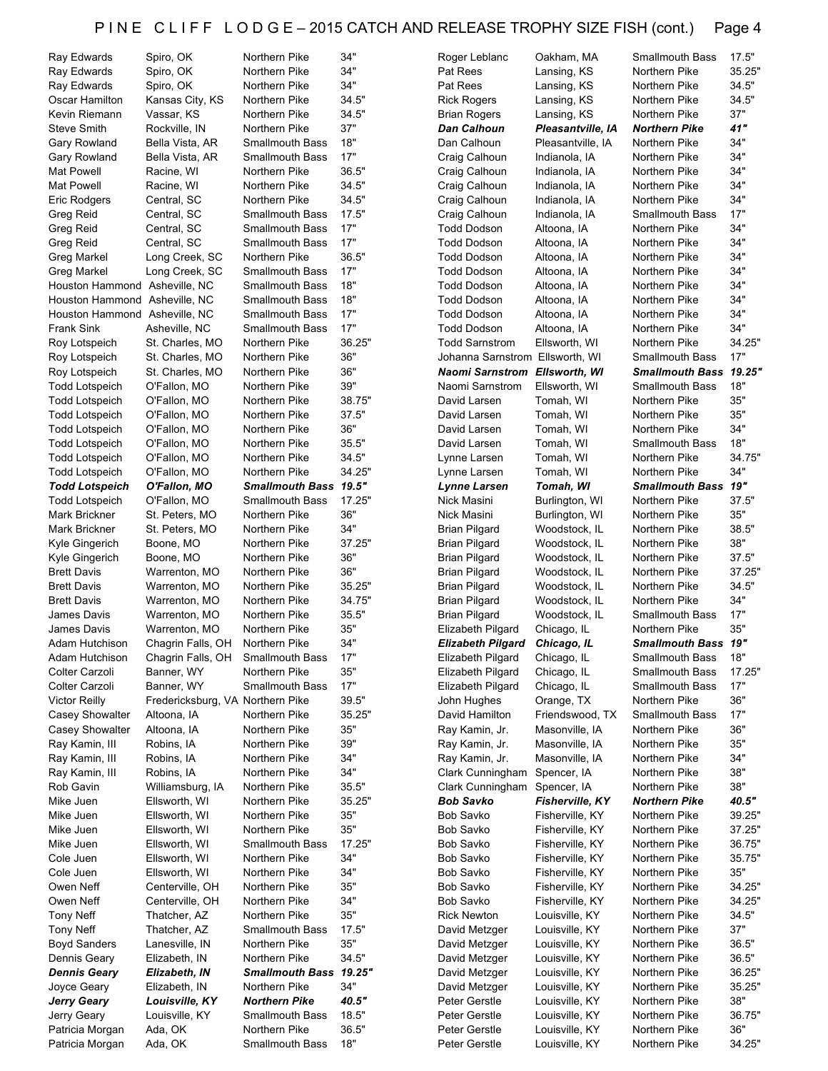# P I N E C L I F F L O D G E - 2015 CATCH AND RELEASE TROPHY SIZE FISH (cont.) Page 4

| Ray Edwards                        | Spiro, OK                        | Northern Pike                    | 34"          | Roger Leblanc                        | Oakham, MA                       | Smallmouth Bass                | 17.5"         |
|------------------------------------|----------------------------------|----------------------------------|--------------|--------------------------------------|----------------------------------|--------------------------------|---------------|
| Ray Edwards                        | Spiro, OK                        | Northern Pike                    | 34"          | Pat Rees                             | Lansing, KS                      | Northern Pike                  | 35.25"        |
| Ray Edwards                        | Spiro, OK                        | Northern Pike                    | 34"          | Pat Rees                             | Lansing, KS                      | Northern Pike                  | 34.5"         |
| Oscar Hamilton                     | Kansas City, KS                  | Northern Pike                    | 34.5"        | <b>Rick Rogers</b>                   | Lansing, KS                      | Northern Pike                  | 34.5"         |
| Kevin Riemann                      | Vassar, KS                       | Northern Pike                    | 34.5"        | <b>Brian Rogers</b>                  | Lansing, KS                      | Northern Pike                  | 37"           |
| <b>Steve Smith</b>                 | Rockville, IN                    | Northern Pike                    | 37"          | Dan Calhoun                          | Pleasantville, IA                | <b>Northern Pike</b>           | 41"           |
|                                    |                                  |                                  |              |                                      |                                  |                                | 34"           |
| Gary Rowland                       | Bella Vista, AR                  | <b>Smallmouth Bass</b>           | 18"          | Dan Calhoun                          | Pleasantville, IA                | Northern Pike                  |               |
| Gary Rowland                       | Bella Vista, AR                  | <b>Smallmouth Bass</b>           | 17"          | Craig Calhoun                        | Indianola, IA                    | Northern Pike                  | 34"           |
| Mat Powell                         | Racine, WI                       | Northern Pike                    | 36.5"        | Craig Calhoun                        | Indianola, IA                    | Northern Pike                  | 34"           |
| <b>Mat Powell</b>                  | Racine, WI                       | Northern Pike                    | 34.5"        | Craig Calhoun                        | Indianola, IA                    | Northern Pike                  | 34"           |
| Eric Rodgers                       | Central, SC                      | Northern Pike                    | 34.5"        | Craig Calhoun                        | Indianola, IA                    | Northern Pike                  | 34"           |
| Greg Reid                          | Central, SC                      | <b>Smallmouth Bass</b>           | 17.5"        | Craig Calhoun                        | Indianola, IA                    | <b>Smallmouth Bass</b>         | 17"           |
|                                    |                                  | <b>Smallmouth Bass</b>           | 17"          |                                      |                                  | Northern Pike                  | 34"           |
| Greg Reid                          | Central, SC                      |                                  |              | <b>Todd Dodson</b>                   | Altoona, IA                      |                                |               |
| Greg Reid                          | Central, SC                      | <b>Smallmouth Bass</b>           | 17"          | <b>Todd Dodson</b>                   | Altoona, IA                      | Northern Pike                  | 34"           |
| <b>Greg Markel</b>                 | Long Creek, SC                   | Northern Pike                    | 36.5"        | <b>Todd Dodson</b>                   | Altoona, IA                      | Northern Pike                  | 34"           |
| Greg Markel                        | Long Creek, SC                   | <b>Smallmouth Bass</b>           | 17"          | <b>Todd Dodson</b>                   | Altoona, IA                      | Northern Pike                  | 34"           |
| Houston Hammond Asheville, NC      |                                  | <b>Smallmouth Bass</b>           | 18"          | <b>Todd Dodson</b>                   | Altoona, IA                      | Northern Pike                  | 34"           |
| Houston Hammond Asheville, NC      |                                  | <b>Smallmouth Bass</b>           | 18"          | <b>Todd Dodson</b>                   | Altoona, IA                      | Northern Pike                  | 34"           |
| Houston Hammond Asheville, NC      |                                  | <b>Smallmouth Bass</b>           | 17"          | <b>Todd Dodson</b>                   | Altoona, IA                      | Northern Pike                  | 34"           |
|                                    |                                  |                                  |              |                                      |                                  |                                |               |
| <b>Frank Sink</b>                  | Asheville, NC                    | <b>Smallmouth Bass</b>           | 17"          | <b>Todd Dodson</b>                   | Altoona, IA                      | Northern Pike                  | 34"           |
| Roy Lotspeich                      | St. Charles, MO                  | Northern Pike                    | 36.25"       | <b>Todd Sarnstrom</b>                | Ellsworth, WI                    | Northern Pike                  | 34.25"        |
| Roy Lotspeich                      | St. Charles, MO                  | Northern Pike                    | 36"          | Johanna Sarnstrom Ellsworth, WI      |                                  | <b>Smallmouth Bass</b>         | 17"           |
| Roy Lotspeich                      | St. Charles, MO                  | Northern Pike                    | 36"          | <b>Naomi Sarnstrom Ellsworth, WI</b> |                                  | Smallmouth Bass 19.25"         |               |
| <b>Todd Lotspeich</b>              | O'Fallon, MO                     | Northern Pike                    | 39"          | Naomi Sarnstrom                      | Ellsworth, WI                    | <b>Smallmouth Bass</b>         | 18"           |
| <b>Todd Lotspeich</b>              | O'Fallon, MO                     | Northern Pike                    | 38.75"       | David Larsen                         | Tomah, WI                        | Northern Pike                  | 35"           |
|                                    |                                  |                                  |              |                                      |                                  |                                |               |
| <b>Todd Lotspeich</b>              | O'Fallon, MO                     | Northern Pike                    | 37.5"        | David Larsen                         | Tomah, WI                        | Northern Pike                  | 35"           |
| <b>Todd Lotspeich</b>              | O'Fallon, MO                     | Northern Pike                    | 36"          | David Larsen                         | Tomah, WI                        | Northern Pike                  | 34"           |
| <b>Todd Lotspeich</b>              | O'Fallon, MO                     | Northern Pike                    | 35.5"        | David Larsen                         | Tomah, WI                        | <b>Smallmouth Bass</b>         | 18"           |
| <b>Todd Lotspeich</b>              | O'Fallon, MO                     | Northern Pike                    | 34.5"        | Lynne Larsen                         | Tomah, WI                        | Northern Pike                  | 34.75"        |
| <b>Todd Lotspeich</b>              | O'Fallon, MO                     | Northern Pike                    | 34.25"       | Lynne Larsen                         | Tomah, WI                        | Northern Pike                  | 34"           |
| <b>Todd Lotspeich</b>              | O'Fallon, MO                     | <b>Smallmouth Bass</b>           | 19.5"        | Lynne Larsen                         | Tomah, WI                        | <b>Smallmouth Bass</b>         | 19"           |
|                                    |                                  |                                  |              |                                      |                                  |                                |               |
| <b>Todd Lotspeich</b>              | O'Fallon, MO                     | <b>Smallmouth Bass</b>           | 17.25"       | Nick Masini                          | Burlington, WI                   | Northern Pike                  | 37.5"         |
| Mark Brickner                      | St. Peters, MO                   | Northern Pike                    | 36"          | Nick Masini                          | Burlington, WI                   | Northern Pike                  | 35"           |
| Mark Brickner                      | St. Peters, MO                   | Northern Pike                    | 34"          | <b>Brian Pilgard</b>                 | Woodstock, IL                    | Northern Pike                  | 38.5"         |
| Kyle Gingerich                     | Boone, MO                        | Northern Pike                    | 37.25"       | <b>Brian Pilgard</b>                 | Woodstock, IL                    | Northern Pike                  | 38"           |
| Kyle Gingerich                     | Boone, MO                        | Northern Pike                    | 36"          | <b>Brian Pilgard</b>                 | Woodstock, IL                    | Northern Pike                  | 37.5"         |
| <b>Brett Davis</b>                 | Warrenton, MO                    | Northern Pike                    | 36"          | <b>Brian Pilgard</b>                 | Woodstock, IL                    | Northern Pike                  | 37.25"        |
|                                    |                                  |                                  |              |                                      |                                  |                                |               |
| <b>Brett Davis</b>                 | Warrenton, MO                    | Northern Pike                    | 35.25"       | <b>Brian Pilgard</b>                 | Woodstock, IL                    | Northern Pike                  | 34.5"         |
| <b>Brett Davis</b>                 | Warrenton, MO                    | Northern Pike                    | 34.75"       | <b>Brian Pilgard</b>                 | Woodstock, IL                    | Northern Pike                  | 34"           |
| James Davis                        | Warrenton, MO                    | Northern Pike                    | 35.5"        | <b>Brian Pilgard</b>                 | Woodstock, IL                    | <b>Smallmouth Bass</b>         | 17"           |
| James Davis                        | Warrenton, MO                    | Northern Pike                    | 35"          | <b>Elizabeth Pilgard</b>             | Chicago, IL                      | Northern Pike                  | 35"           |
| Adam Hutchison                     | Chagrin Falls, OH                | Northern Pike                    | 34"          | <b>Elizabeth Pilgard</b>             | Chicago, IL                      | Smallmouth Bass 19"            |               |
| Adam Hutchison                     | Chagrin Falls, OH                | <b>Smallmouth Bass</b>           | 17"          | Elizabeth Pilgard                    | Chicago, IL                      | <b>Smallmouth Bass</b>         | 18"           |
|                                    |                                  |                                  | 35"          |                                      |                                  |                                |               |
| Colter Carzoli                     | Banner, WY                       | Northern Pike                    |              | <b>Elizabeth Pilgard</b>             | Chicago, IL                      | <b>Smallmouth Bass</b>         | 17.25"        |
| Colter Carzoli                     | Banner, WY                       | Smallmouth Bass                  | 17"          | <b>Elizabeth Pilgard</b>             | Chicago, IL                      | <b>Smallmouth Bass</b>         | 17"           |
| <b>Victor Reilly</b>               | Fredericksburg, VA Northern Pike |                                  | 39.5"        | John Hughes                          | Orange, TX                       | Northern Pike                  | 36"           |
| <b>Casey Showalter</b>             | Altoona, IA                      | Northern Pike                    | 35.25"       | David Hamilton                       | Friendswood, TX                  | <b>Smallmouth Bass</b>         | 17"           |
| <b>Casey Showalter</b>             | Altoona, IA                      | Northern Pike                    | 35"          | Ray Kamin, Jr.                       | Masonville, IA                   | Northern Pike                  | 36"           |
| Ray Kamin, III                     | Robins, IA                       | Northern Pike                    | 39"          | Ray Kamin, Jr.                       | Masonville, IA                   | Northern Pike                  | 35"           |
| Ray Kamin, III                     |                                  |                                  |              |                                      |                                  |                                |               |
|                                    |                                  |                                  |              |                                      |                                  |                                |               |
| Ray Kamin, III                     | Robins, IA                       | Northern Pike                    | 34"          | Ray Kamin, Jr.                       | Masonville, IA                   | Northern Pike                  | 34"           |
|                                    | Robins, IA                       | Northern Pike                    | 34"          | Clark Cunningham Spencer, IA         |                                  | Northern Pike                  | 38"           |
| Rob Gavin                          | Williamsburg, IA                 | Northern Pike                    | 35.5"        | Clark Cunningham                     | Spencer, IA                      | Northern Pike                  | 38"           |
| Mike Juen                          | Ellsworth, WI                    | Northern Pike                    | 35.25"       | Bob Savko                            | <b>Fisherville, KY</b>           | <b>Northern Pike</b>           | 40.5"         |
| Mike Juen                          |                                  |                                  |              |                                      |                                  |                                |               |
|                                    | Ellsworth, WI                    | Northern Pike                    | 35"          | Bob Savko                            | Fisherville, KY                  | Northern Pike                  | 39.25"        |
| Mike Juen                          | Ellsworth, WI                    | Northern Pike                    | 35"          | Bob Savko                            | Fisherville, KY                  | Northern Pike                  | 37.25"        |
| Mike Juen                          | Ellsworth, WI                    | <b>Smallmouth Bass</b>           | 17.25"       | Bob Savko                            | Fisherville, KY                  | Northern Pike                  | 36.75"        |
| Cole Juen                          | Ellsworth, WI                    | Northern Pike                    | 34"          | Bob Savko                            | Fisherville, KY                  | Northern Pike                  | 35.75"        |
| Cole Juen                          | Ellsworth, WI                    | Northern Pike                    | 34"          | Bob Savko                            | Fisherville, KY                  | Northern Pike                  | 35"           |
| Owen Neff                          | Centerville, OH                  | Northern Pike                    | 35"          | Bob Savko                            | Fisherville, KY                  | Northern Pike                  | 34.25"        |
| Owen Neff                          | Centerville, OH                  | Northern Pike                    | 34"          | Bob Savko                            | Fisherville, KY                  | Northern Pike                  | 34.25"        |
|                                    |                                  |                                  | 35"          |                                      |                                  |                                |               |
| <b>Tony Neff</b>                   | Thatcher, AZ                     | Northern Pike                    |              | <b>Rick Newton</b>                   | Louisville, KY                   | Northern Pike                  | 34.5"         |
| <b>Tony Neff</b>                   | Thatcher, AZ                     | <b>Smallmouth Bass</b>           | 17.5"        | David Metzger                        | Louisville, KY                   | Northern Pike                  | 37"           |
| <b>Boyd Sanders</b>                | Lanesville, IN                   | Northern Pike                    | 35"          | David Metzger                        | Louisville, KY                   | Northern Pike                  | 36.5"         |
| Dennis Geary                       | Elizabeth, IN                    | Northern Pike                    | 34.5"        | David Metzger                        | Louisville, KY                   | Northern Pike                  | 36.5"         |
| <b>Dennis Geary</b>                | Elizabeth, IN                    | <b>Smallmouth Bass</b>           | 19.25"       | David Metzger                        | Louisville, KY                   | Northern Pike                  | 36.25"        |
| Joyce Geary                        | Elizabeth, IN                    | Northern Pike                    | 34"          | David Metzger                        | Louisville, KY                   | Northern Pike                  | 35.25"        |
|                                    | Louisville, KY                   | <b>Northern Pike</b>             | 40.5"        | Peter Gerstle                        | Louisville, KY                   | Northern Pike                  | 38"           |
| <b>Jerry Geary</b>                 |                                  |                                  |              |                                      |                                  |                                |               |
| Jerry Geary                        | Louisville, KY                   | <b>Smallmouth Bass</b>           | 18.5"        | Peter Gerstle                        | Louisville, KY                   | Northern Pike                  | 36.75"        |
| Patricia Morgan<br>Patricia Morgan | Ada, OK<br>Ada, OK               | Northern Pike<br>Smallmouth Bass | 36.5"<br>18" | Peter Gerstle<br>Peter Gerstle       | Louisville, KY<br>Louisville, KY | Northern Pike<br>Northern Pike | 36"<br>34.25" |